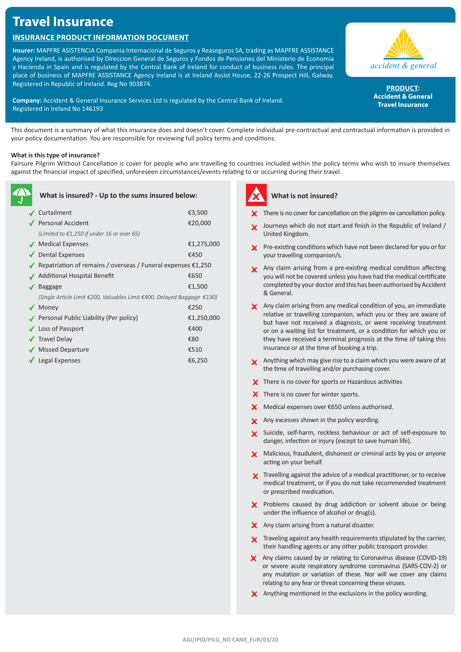# **Travel Insurance**

## **Insurance Product Information Document**

**Insurer:** MAPFRE ASISTENCIA Compania Internacional de Seguros y Reaseguros SA, trading as MAPFRE ASSISTANCE Agency Ireland, is authorised by Direccion General de Seguros y Fondos de Pensiones del Ministerio de Economia y Hacienda in Spain and is regulated by the Central Bank of Ireland for conduct of business rules. The principal place of business of MAPFRE ASSISTANCE Agency Ireland is at Ireland Assist House, 22-26 Prospect Hill, Galway. Registered in Republic of Ireland. Reg No 903874.

**Company:** Accident & General Insurance Services Ltd is regulated by the Central Bank of Ireland. Registered in Ireland No 146193



PRODUCT: **Accident & General Travel Insurance**

This document is a summary of what this insurance does and doesn't cover. Complete individual pre-contractual and contractual information is provided in your policy documentation. You are responsible for reviewing full policy terms and conditions.

### **What is this type of insurance?**

Fairsure Pilgrim Without Cancellation is cover for people who are travelling to countries included within the policy terms who wish to insure themselves against the financial impact of specified, unforeseen circumstances/events relating to or occurring during their travel.

| What is insured? - Up to the sums insured below: |                                                                         |            |
|--------------------------------------------------|-------------------------------------------------------------------------|------------|
|                                                  | Curtailment                                                             | €3,500     |
|                                                  | ◆ Personal Accident                                                     | €20,000    |
|                                                  | (Limited to $£1,250$ if under 16 or over 65)                            |            |
|                                                  | ◆ Medical Expenses                                                      | €1,275,000 |
|                                                  | <b>Dental Expenses</b>                                                  | €450       |
|                                                  | Repatriation of remains / overseas / Funeral expenses $£1,250$          |            |
|                                                  | Additional Hospital Benefit                                             | €650       |
|                                                  | Baggage                                                                 | €1,500     |
|                                                  | (Single Article Limit €200, Valuables Limit €400, Delayed Baggage €130) |            |
|                                                  | Money                                                                   | €250       |
|                                                  | Personal Public Liability (Per policy)                                  | €1,250,000 |
|                                                  | ✔ Loss of Passport                                                      | €400       |
|                                                  | <b>√</b> Travel Delay                                                   | €80        |
|                                                  | <b>Missed Departure</b>                                                 | €510       |
|                                                  | Legal Expenses                                                          | €6,250     |



## **What is not insured?**

- **X** There is no cover for cancellation on the pilgrim ex cancellation policy.
- Journeys which do not start and finish in the Republic of Ireland / United Kingdom.
- **X** Pre-existing conditions which have not been declared for you or for your travelling companion/s.
- Any claim arising from a pre-existing medical condition affecting you will not be covered unless you have had the medical certificate completed by your doctor and this has been authorised by Accident & General.
- $\times$  Any claim arising from any medical condition of you, an immediate relative or travelling companion, which you or they are aware of but have not received a diagnosis, or were receiving treatment or on a waiting list for treatment, or a condition for which you or they have received a terminal prognosis at the time of taking this insurance or at the time of booking a trip.
- Anything which may give rise to a claim which you were aware of at the time of travelling and/or purchasing cover.
- $\boldsymbol{\times}$  There is no cover for sports or Hazardous activities
- X There is no cover for winter sports.
- $X$  Medical expenses over €650 unless authorised.
- X Any excesses shown in the policy wording.
- Suicide, self-harm, reckless behaviour or act of self-exposure to danger, infection or injury (except to save human life).
- X Malicious, fraudulent, dishonest or criminal acts by you or anyone acting on your behalf.
- **X** Travelling against the advice of a medical practitioner, or to receive medical treatment, or if you do not take recommended treatment or prescribed medication.
- $\boldsymbol{\times}$  Problems caused by drug addiction or solvent abuse or being under the influence of alcohol or drug(s).
- $\boldsymbol{\times}$  Any claim arising from a natural disaster.
- **X** Traveling against any health requirements stipulated by the carrier, their handling agents or any other public transport provider.
- Any claims caused by or relating to Coronavirus disease (COVID-19) or severe acute respiratory syndrome coronavirus (SARS-COV-2) or any mutation or variation of these. Nor will we cover any claims relating to any fear or threat concerning these viruses.
- $\times$  Anything mentioned in the exclusions in the policy wording.